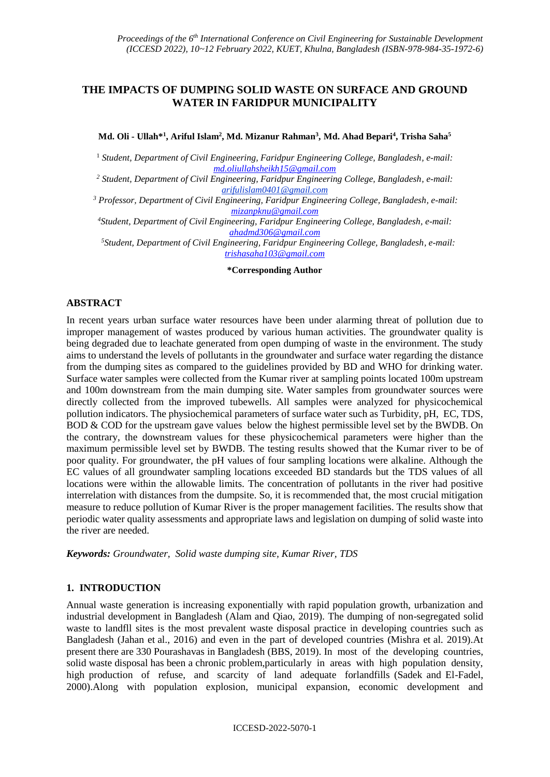## **THE IMPACTS OF DUMPING SOLID WASTE ON SURFACE AND GROUND WATER IN FARIDPUR MUNICIPALITY**

#### **Md. Oli - Ullah\* 1 , Ariful Islam<sup>2</sup> , Md. Mizanur Rahman<sup>3</sup> , Md. Ahad Bepari<sup>4</sup> , Trisha Saha<sup>5</sup>**

<sup>1</sup> *Student, Department of Civil Engineering, Faridpur Engineering College, Bangladesh, e-mail: [md.oliullahsheikh15@gmail.com](mailto:md.oliullahsheikh15@gmail.com)*

*<sup>2</sup> Student, Department of Civil Engineering, Faridpur Engineering College, Bangladesh, e-mail: arifulislam0401@gmail.com*

*<sup>3</sup> Professor, Department of Civil Engineering, Faridpur Engineering College, Bangladesh, e-mail: [mizanpknu@gmail.com](mailto:mizanpknu@gmail.com)*

*<sup>4</sup>Student, Department of Civil Engineering, Faridpur Engineering College, Bangladesh, e-mail: [ahadmd306@gmail.com](mailto:ahadmd306@gmail.com)*

*<sup>5</sup>Student, Department of Civil Engineering, Faridpur Engineering College, Bangladesh, e-mail: [trishasaha103@gmail.com](mailto:trishasaha103@gmail.com)*

#### **\*Corresponding Author**

### **ABSTRACT**

In recent years urban surface water resources have been under alarming threat of pollution due to improper management of wastes produced by various human activities. The groundwater quality is being degraded due to leachate generated from open dumping of waste in the environment. The study aims to understand the levels of pollutants in the groundwater and surface water regarding the distance from the dumping sites as compared to the guidelines provided by BD and WHO for drinking water. Surface water samples were collected from the Kumar river at sampling points located 100m upstream and 100m downstream from the main dumping site. Water samples from groundwater sources were directly collected from the improved tubewells. All samples were analyzed for physicochemical pollution indicators. The physiochemical parameters of surface water such as Turbidity, pH, EC, TDS, BOD & COD for the upstream gave values below the highest permissible level set by the BWDB. On the contrary, the downstream values for these physicochemical parameters were higher than the maximum permissible level set by BWDB. The testing results showed that the Kumar river to be of poor quality. For groundwater, the pH values of four sampling locations were alkaline. Although the EC values of all groundwater sampling locations exceeded BD standards but the TDS values of all locations were within the allowable limits. The concentration of pollutants in the river had positive interrelation with distances from the dumpsite. So, it is recommended that, the most crucial mitigation measure to reduce pollution of Kumar River is the proper management facilities. The results show that periodic water quality assessments and appropriate laws and legislation on dumping of solid waste into the river are needed.

*Keywords: Groundwater, Solid waste dumping site, Kumar River, TDS*

### **1. INTRODUCTION**

Annual waste generation is increasing exponentially with rapid population growth, urbanization and industrial development in Bangladesh (Alam and Qiao, 2019). The dumping of non-segregated solid waste to landfll sites is the most prevalent waste disposal practice in developing countries such as Bangladesh (Jahan et al., 2016) and even in the part of developed countries (Mishra et al. 2019).At present there are 330 Pourashavas in Bangladesh (BBS, 2019). In most of the developing countries, solid waste disposal has been a chronic problem,particularly in areas with high population density, high production of refuse, and scarcity of land adequate forlandfills (Sadek and El-Fadel, 2000).Along with population explosion, municipal expansion, economic development and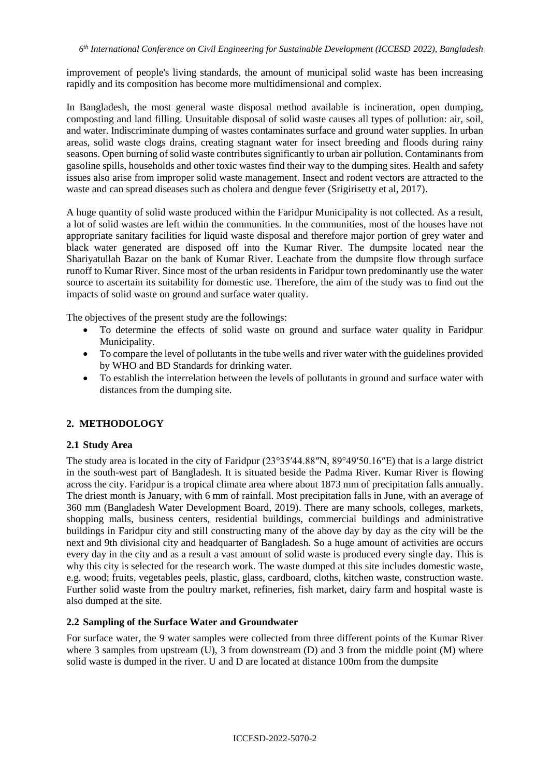improvement of people's living standards, the amount of municipal solid waste has been increasing rapidly and its composition has become more multidimensional and complex.

In Bangladesh, the most general waste disposal method available is incineration, open dumping, composting and land filling. Unsuitable disposal of solid waste causes all types of pollution: air, soil, and water. Indiscriminate dumping of wastes contaminates surface and ground water supplies. In urban areas, solid waste clogs drains, creating stagnant water for insect breeding and floods during rainy seasons. Open burning of solid waste contributes significantly to urban air pollution. Contaminants from gasoline spills, households and other toxic wastes find their way to the dumping sites. Health and safety issues also arise from improper solid waste management. Insect and rodent vectors are attracted to the waste and can spread diseases such as cholera and dengue fever (Srigirisetty et al, 2017).

A huge quantity of solid waste produced within the Faridpur Municipality is not collected. As a result, a lot of solid wastes are left within the communities. In the communities, most of the houses have not appropriate sanitary facilities for liquid waste disposal and therefore major portion of grey water and black water generated are disposed off into the Kumar River. The dumpsite located near the Shariyatullah Bazar on the bank of Kumar River. Leachate from the dumpsite flow through surface runoff to Kumar River. Since most of the urban residents in Faridpur town predominantly use the water source to ascertain its suitability for domestic use. Therefore, the aim of the study was to find out the impacts of solid waste on ground and surface water quality.

The objectives of the present study are the followings:

- To determine the effects of solid waste on ground and surface water quality in Faridpur Municipality.
- To compare the level of pollutants in the tube wells and river water with the guidelines provided by WHO and BD Standards for drinking water.
- To establish the interrelation between the levels of pollutants in ground and surface water with distances from the dumping site.

## **2. METHODOLOGY**

### **2.1 Study Area**

The study area is located in the city of Faridpur (23°35′44.88″N, 89°49′50.16″E) that is a large district in the south-west part of Bangladesh. It is situated beside the Padma River. Kumar River is flowing across the city. Faridpur is a tropical climate area where about 1873 mm of precipitation falls annually. The driest month is January, with 6 mm of rainfall. Most precipitation falls in June, with an average of 360 mm (Bangladesh Water Development Board, 2019). There are many schools, colleges, markets, shopping malls, business centers, residential buildings, commercial buildings and administrative buildings in Faridpur city and still constructing many of the above day by day as the city will be the next and 9th divisional city and headquarter of Bangladesh. So a huge amount of activities are occurs every day in the city and as a result a vast amount of solid waste is produced every single day. This is why this city is selected for the research work. The waste dumped at this site includes domestic waste, e.g. wood; fruits, vegetables peels, plastic, glass, cardboard, cloths, kitchen waste, construction waste. Further solid waste from the poultry market, refineries, fish market, dairy farm and hospital waste is also dumped at the site.

### **2.2 Sampling of the Surface Water and Groundwater**

For surface water, the 9 water samples were collected from three different points of the Kumar River where 3 samples from upstream (U), 3 from downstream (D) and 3 from the middle point (M) where solid waste is dumped in the river. U and D are located at distance 100m from the dumpsite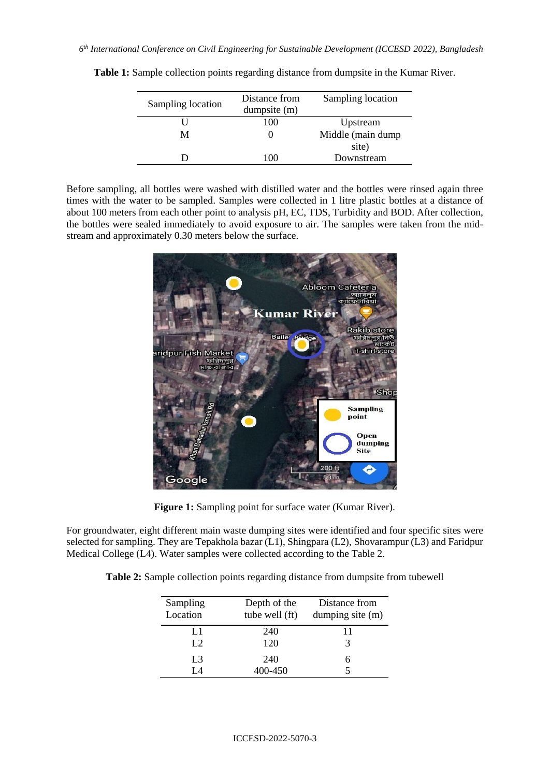| Sampling location | Distance from<br>dumpsite (m) | Sampling location |  |
|-------------------|-------------------------------|-------------------|--|
|                   | 100                           | Upstream          |  |
| М                 |                               | Middle (main dump |  |
|                   |                               | site)             |  |
|                   | 100                           | Downstream        |  |

**Table 1:** Sample collection points regarding distance from dumpsite in the Kumar River.

Before sampling, all bottles were washed with distilled water and the bottles were rinsed again three times with the water to be sampled. Samples were collected in 1 litre plastic bottles at a distance of about 100 meters from each other point to analysis pH, EC, TDS, Turbidity and BOD. After collection, the bottles were sealed immediately to avoid exposure to air. The samples were taken from the midstream and approximately 0.30 meters below the surface.



**Figure 1:** Sampling point for surface water (Kumar River).

For groundwater, eight different main waste dumping sites were identified and four specific sites were selected for sampling. They are Tepakhola bazar (L1), Shingpara (L2), Shovarampur (L3) and Faridpur Medical College (L4). Water samples were collected according to the Table 2.

**Table 2:** Sample collection points regarding distance from dumpsite from tubewell

| Sampling<br>Location | Depth of the<br>tube well (ft) | Distance from<br>dumping site (m) |
|----------------------|--------------------------------|-----------------------------------|
| L1<br>L2             | 240<br>120                     | 11                                |
| L <sub>3</sub>       | 240<br>400-450                 |                                   |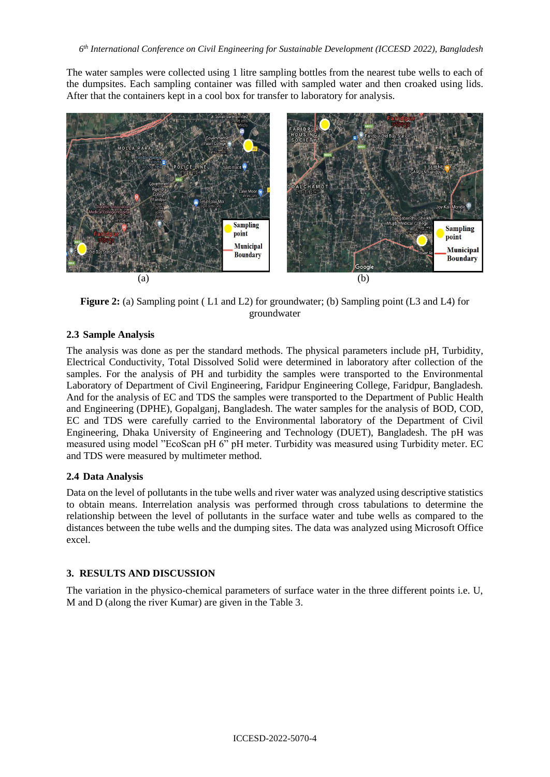The water samples were collected using 1 litre sampling bottles from the nearest tube wells to each of the dumpsites. Each sampling container was filled with sampled water and then croaked using lids. After that the containers kept in a cool box for transfer to laboratory for analysis.



**Figure 2:** (a) Sampling point (L1 and L2) for groundwater; (b) Sampling point (L3 and L4) for groundwater

## **2.3 Sample Analysis**

The analysis was done as per the standard methods. The physical parameters include pH, Turbidity, Electrical Conductivity, Total Dissolved Solid were determined in laboratory after collection of the samples. For the analysis of PH and turbidity the samples were transported to the Environmental Laboratory of Department of Civil Engineering, Faridpur Engineering College, Faridpur, Bangladesh. And for the analysis of EC and TDS the samples were transported to the Department of Public Health and Engineering (DPHE), Gopalganj, Bangladesh. The water samples for the analysis of BOD, COD, EC and TDS were carefully carried to the Environmental laboratory of the Department of Civil Engineering, Dhaka University of Engineering and Technology (DUET), Bangladesh. The pH was measured using model "EcoScan pH 6" pH meter. Turbidity was measured using Turbidity meter. EC and TDS were measured by multimeter method.

## **2.4 Data Analysis**

Data on the level of pollutants in the tube wells and river water was analyzed using descriptive statistics to obtain means. Interrelation analysis was performed through cross tabulations to determine the relationship between the level of pollutants in the surface water and tube wells as compared to the distances between the tube wells and the dumping sites. The data was analyzed using Microsoft Office excel.

# **3. RESULTS AND DISCUSSION**

The variation in the physico-chemical parameters of surface water in the three different points i.e. U, M and D (along the river Kumar) are given in the Table 3.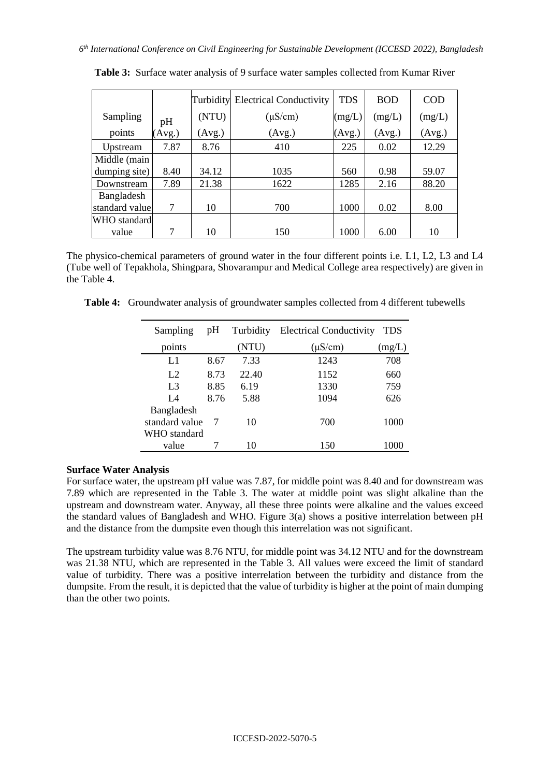|                |        |        | <b>Turbidity</b> Electrical Conductivity | <b>TDS</b> | <b>BOD</b> | <b>COD</b> |
|----------------|--------|--------|------------------------------------------|------------|------------|------------|
| Sampling       | pH     | (NTU)  | $(\mu S/cm)$                             | (mg/L)     | (mg/L)     | (mg/L)     |
| points         | (Avg.) | (Avg.) | (Avg.)                                   | (Avg.)     | (Avg.)     | (Avg.)     |
| Upstream       | 7.87   | 8.76   | 410                                      | 225        | 0.02       | 12.29      |
| Middle (main   |        |        |                                          |            |            |            |
| dumping site)  | 8.40   | 34.12  | 1035                                     | 560        | 0.98       | 59.07      |
| Downstream     | 7.89   | 21.38  | 1622                                     | 1285       | 2.16       | 88.20      |
| Bangladesh     |        |        |                                          |            |            |            |
| standard value | 7      | 10     | 700                                      | 1000       | 0.02       | 8.00       |
| WHO standard   |        |        |                                          |            |            |            |
| value          | 7      | 10     | 150                                      | 1000       | 6.00       | 10         |

**Table 3:** Surface water analysis of 9 surface water samples collected from Kumar River

The physico-chemical parameters of ground water in the four different points i.e. L1, L2, L3 and L4 (Tube well of Tepakhola, Shingpara, Shovarampur and Medical College area respectively) are given in the Table 4.

**Table 4:** Groundwater analysis of groundwater samples collected from 4 different tubewells

| Sampling       | pH   | Turbidity | <b>Electrical Conductivity</b> | <b>TDS</b> |
|----------------|------|-----------|--------------------------------|------------|
| points         |      | (NTU)     | $(\mu S/cm)$                   | (mg/L)     |
| L1             | 8.67 | 7.33      | 1243                           | 708        |
| L2             | 8.73 | 22.40     | 1152                           | 660        |
| L <sub>3</sub> | 8.85 | 6.19      | 1330                           | 759        |
| IA             | 8.76 | 5.88      | 1094                           | 626        |
| Bangladesh     |      |           |                                |            |
| standard value |      | 10        | 700                            | 1000       |
| WHO standard   |      |           |                                |            |
| value          |      | 10        | 150                            | 1000       |

#### **Surface Water Analysis**

For surface water, the upstream pH value was 7.87, for middle point was 8.40 and for downstream was 7.89 which are represented in the Table 3. The water at middle point was slight alkaline than the upstream and downstream water. Anyway, all these three points were alkaline and the values exceed the standard values of Bangladesh and WHO. Figure 3(a) shows a positive interrelation between pH and the distance from the dumpsite even though this interrelation was not significant.

The upstream turbidity value was 8.76 NTU, for middle point was 34.12 NTU and for the downstream was 21.38 NTU, which are represented in the Table 3. All values were exceed the limit of standard value of turbidity. There was a positive interrelation between the turbidity and distance from the dumpsite. From the result, it is depicted that the value of turbidity is higher at the point of main dumping than the other two points.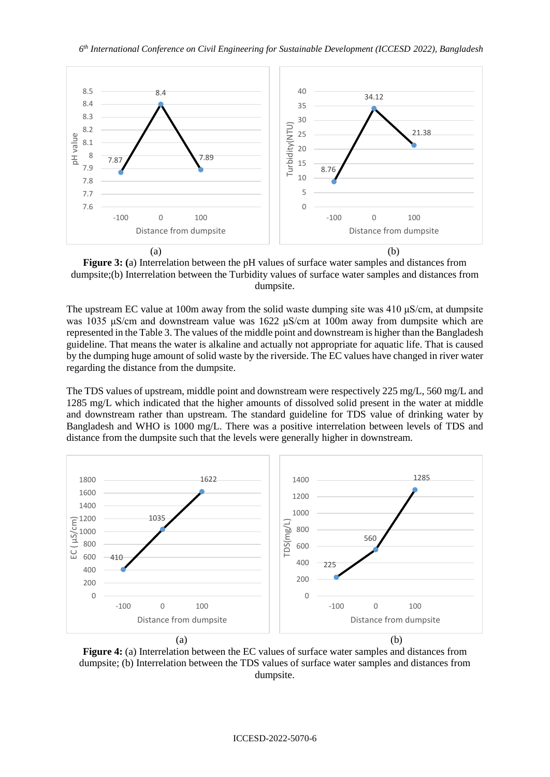

**Figure 3: (**a) Interrelation between the pH values of surface water samples and distances from dumpsite;(b) Interrelation between the Turbidity values of surface water samples and distances from dumpsite.

The upstream EC value at 100m away from the solid waste dumping site was 410 μS/cm, at dumpsite was 1035 μS/cm and downstream value was 1622 μS/cm at 100m away from dumpsite which are represented in the Table 3. The values of the middle point and downstream is higher than the Bangladesh guideline. That means the water is alkaline and actually not appropriate for aquatic life. That is caused by the dumping huge amount of solid waste by the riverside. The EC values have changed in river water regarding the distance from the dumpsite.

The TDS values of upstream, middle point and downstream were respectively 225 mg/L, 560 mg/L and 1285 mg/L which indicated that the higher amounts of dissolved solid present in the water at middle and downstream rather than upstream. The standard guideline for TDS value of drinking water by Bangladesh and WHO is 1000 mg/L. There was a positive interrelation between levels of TDS and distance from the dumpsite such that the levels were generally higher in downstream.



**Figure 4:** (a) Interrelation between the EC values of surface water samples and distances from dumpsite; (b) Interrelation between the TDS values of surface water samples and distances from dumpsite.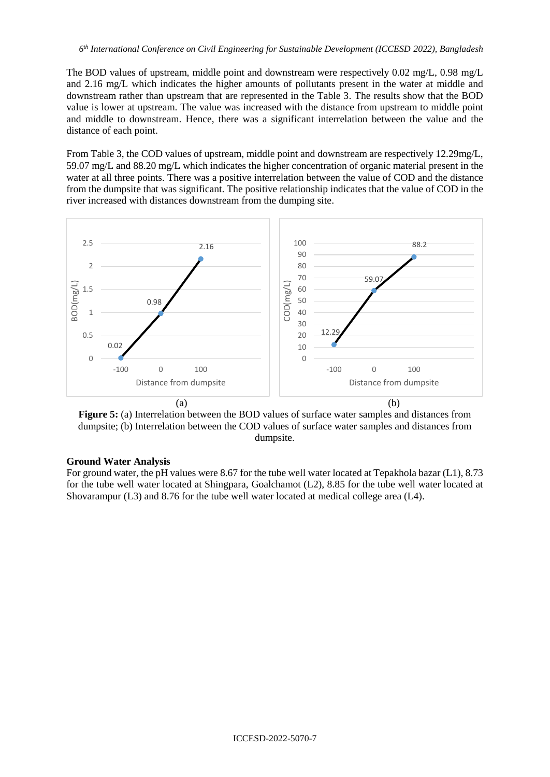The BOD values of upstream, middle point and downstream were respectively 0.02 mg/L, 0.98 mg/L and 2.16 mg/L which indicates the higher amounts of pollutants present in the water at middle and downstream rather than upstream that are represented in the Table 3. The results show that the BOD value is lower at upstream. The value was increased with the distance from upstream to middle point and middle to downstream. Hence, there was a significant interrelation between the value and the distance of each point.

From Table 3, the COD values of upstream, middle point and downstream are respectively 12.29mg/L, 59.07 mg/L and 88.20 mg/L which indicates the higher concentration of organic material present in the water at all three points. There was a positive interrelation between the value of COD and the distance from the dumpsite that was significant. The positive relationship indicates that the value of COD in the river increased with distances downstream from the dumping site.





### **Ground Water Analysis**

For ground water, the pH values were 8.67 for the tube well water located at Tepakhola bazar (L1), 8.73 for the tube well water located at Shingpara, Goalchamot (L2), 8.85 for the tube well water located at Shovarampur (L3) and 8.76 for the tube well water located at medical college area (L4).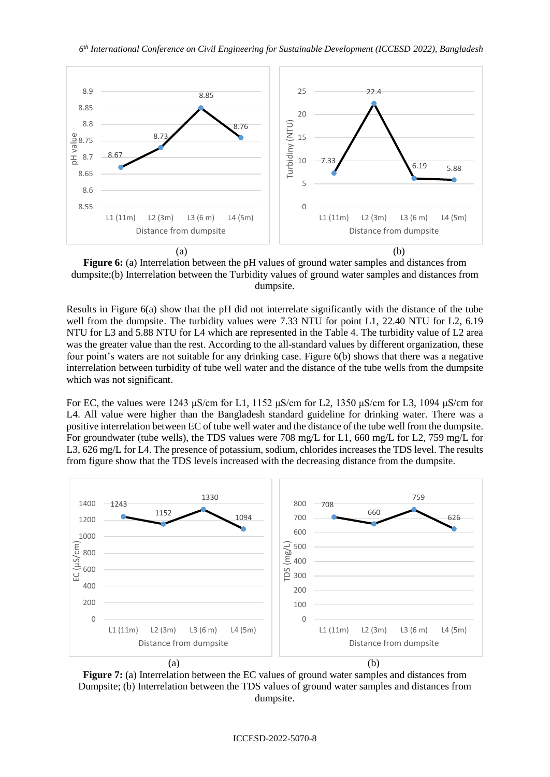

**Figure 6:** (a) Interrelation between the pH values of ground water samples and distances from dumpsite;(b) Interrelation between the Turbidity values of ground water samples and distances from dumpsite.

Results in Figure 6(a) show that the pH did not interrelate significantly with the distance of the tube well from the dumpsite. The turbidity values were 7.33 NTU for point L1, 22.40 NTU for L2, 6.19 NTU for L3 and 5.88 NTU for L4 which are represented in the Table 4. The turbidity value of L2 area was the greater value than the rest. According to the all-standard values by different organization, these four point's waters are not suitable for any drinking case. Figure 6(b) shows that there was a negative interrelation between turbidity of tube well water and the distance of the tube wells from the dumpsite which was not significant.

For EC, the values were 1243 μS/cm for L1, 1152 μS/cm for L2, 1350 μS/cm for L3, 1094 μS/cm for L4. All value were higher than the Bangladesh standard guideline for drinking water. There was a positive interrelation between EC of tube well water and the distance of the tube well from the dumpsite. For groundwater (tube wells), the TDS values were 708 mg/L for L1, 660 mg/L for L2, 759 mg/L for L3, 626 mg/L for L4. The presence of potassium, sodium, chlorides increases the TDS level. The results from figure show that the TDS levels increased with the decreasing distance from the dumpsite.



**Figure 7:** (a) Interrelation between the EC values of ground water samples and distances from Dumpsite; (b) Interrelation between the TDS values of ground water samples and distances from dumpsite.